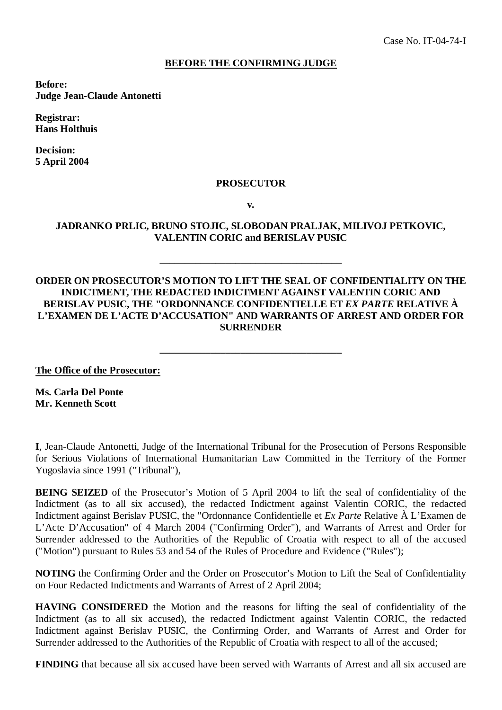## **BEFORE THE CONFIRMING JUDGE**

**Before: Judge Jean-Claude Antonetti**

**Registrar: Hans Holthuis**

**Decision: 5 April 2004**

#### **PROSECUTOR**

**v.**

### **JADRANKO PRLIC, BRUNO STOJIC, SLOBODAN PRALJAK, MILIVOJ PETKOVIC, VALENTIN CORIC and BERISLAV PUSIC**

\_\_\_\_\_\_\_\_\_\_\_\_\_\_\_\_\_\_\_\_\_\_\_\_\_\_\_\_\_\_\_\_\_\_\_\_

# **ORDER ON PROSECUTOR'S MOTION TO LIFT THE SEAL OF CONFIDENTIALITY ON THE INDICTMENT, THE REDACTED INDICTMENT AGAINST VALENTIN CORIC AND BERISLAV PUSIC, THE "ORDONNANCE CONFIDENTIELLE ET** *EX PARTE* **RELATIVE À L'EXAMEN DE L'ACTE D'ACCUSATION" AND WARRANTS OF ARREST AND ORDER FOR SURRENDER**

**\_\_\_\_\_\_\_\_\_\_\_\_\_\_\_\_\_\_\_\_\_\_\_\_\_\_\_\_\_\_\_\_\_\_\_\_**

**The Office of the Prosecutor:**

**Ms. Carla Del Ponte Mr. Kenneth Scott**

**I**, Jean-Claude Antonetti, Judge of the International Tribunal for the Prosecution of Persons Responsible for Serious Violations of International Humanitarian Law Committed in the Territory of the Former Yugoslavia since 1991 ("Tribunal"),

**BEING SEIZED** of the Prosecutor's Motion of 5 April 2004 to lift the seal of confidentiality of the Indictment (as to all six accused), the redacted Indictment against Valentin CORIC, the redacted Indictment against Berislav PUSIC, the "Ordonnance Confidentielle et *Ex Parte* Relative À L'Examen de L'Acte D'Accusation" of 4 March 2004 ("Confirming Order"), and Warrants of Arrest and Order for Surrender addressed to the Authorities of the Republic of Croatia with respect to all of the accused ("Motion") pursuant to Rules 53 and 54 of the Rules of Procedure and Evidence ("Rules");

**NOTING** the Confirming Order and the Order on Prosecutor's Motion to Lift the Seal of Confidentiality on Four Redacted Indictments and Warrants of Arrest of 2 April 2004;

**HAVING CONSIDERED** the Motion and the reasons for lifting the seal of confidentiality of the Indictment (as to all six accused), the redacted Indictment against Valentin CORIC, the redacted Indictment against Berislav PUSIC, the Confirming Order, and Warrants of Arrest and Order for Surrender addressed to the Authorities of the Republic of Croatia with respect to all of the accused;

**FINDING** that because all six accused have been served with Warrants of Arrest and all six accused are